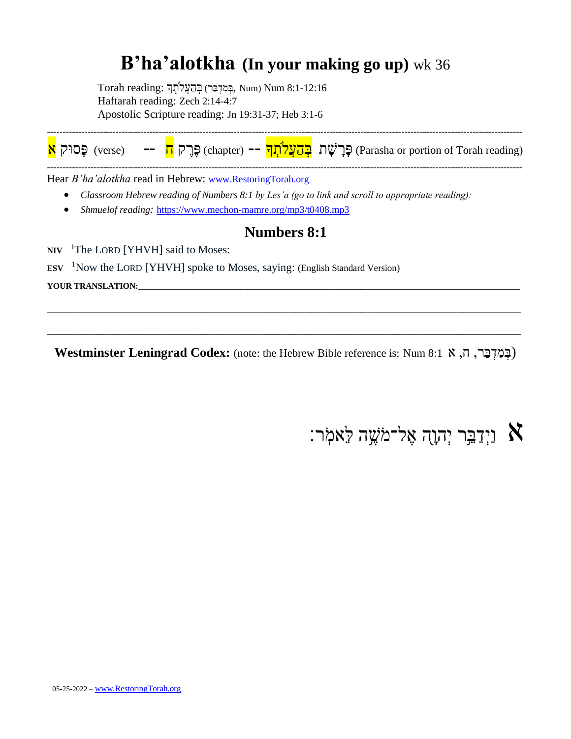## **B'ha'alotkha (In your making go up)** wk 36

Forah reading: בְּמִדְּבַּר) בְּהַעֲלֹתְךָ :Num) Num 8:1-12:16 Haftarah reading: Zech 2:14-4:7 Apostolic Scripture reading: Jn 19:31-37; Heb 3:1-6



Hear *B'ha'alotkha* read in Hebrew: [www.RestoringTorah.org](http://www.restoringtorah.org/)

- *Classroom Hebrew reading of Numbers 8:1 by Les'a (go to link and scroll to appropriate reading):*
- *Shmuelof reading:* <https://www.mechon-mamre.org/mp3/t0408.mp3>

#### **Numbers 8:1**

NIV <sup>1</sup>The LORD [YHVH] said to Moses:

**ESV**  <sup>1</sup>Now the LORD [YHVH] spoke to Moses, saying: (English Standard Version)

YOUR TRANSLATION:

**Westminster Leningrad Codex:** (note: the Hebrew Bible reference is: Num 8:1א ,ח ,רַב ְּד ִמ ְּב(

**\_\_\_\_\_\_\_\_\_\_\_\_\_\_\_\_\_\_\_\_\_\_\_\_\_\_\_\_\_\_\_\_\_\_\_\_\_\_\_\_\_\_\_\_\_\_\_\_\_\_\_\_\_\_\_\_\_\_\_\_\_\_\_\_\_\_\_\_\_\_\_\_\_\_\_\_\_\_\_\_\_\_\_\_\_\_\_\_\_\_\_\_\_\_\_\_\_\_\_\_\_\_\_\_\_\_\_\_\_\_\_\_\_**

**\_\_\_\_\_\_\_\_\_\_\_\_\_\_\_\_\_\_\_\_\_\_\_\_\_\_\_\_\_\_\_\_\_\_\_\_\_\_\_\_\_\_\_\_\_\_\_\_\_\_\_\_\_\_\_\_\_\_\_\_\_\_\_\_\_\_\_\_\_\_\_\_\_\_\_\_\_\_\_\_\_\_\_\_\_\_\_\_\_\_\_\_\_\_\_\_\_\_\_\_\_\_\_\_\_\_\_\_\_\_\_\_\_**

## וַיְּדַבֵּ֣ר יְהוָה אֶל־מֹשֶׁה לֵּאמִֹֽר:  $\aleph$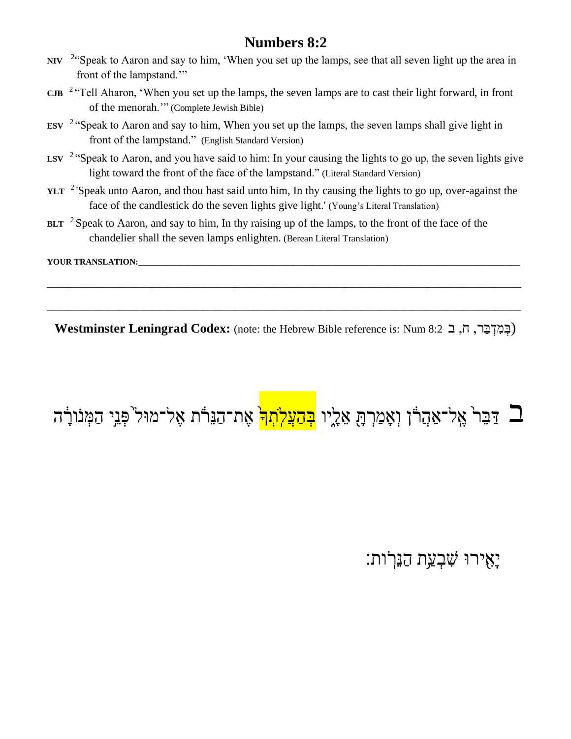- **NIV** <sup>2</sup> "Speak to Aaron and say to him, 'When you set up the lamps, see that all seven light up the area in front of the lampstand.'"
- **CJB**  2 "Tell Aharon, 'When you set up the lamps, the seven lamps are to cast their light forward, in front of the menorah.'" (Complete Jewish Bible)
- **ESV**  2 "Speak to Aaron and say to him, When you set up the lamps, the seven lamps shall give light in front of the lampstand." (English Standard Version)
- LSV <sup>2</sup> "Speak to Aaron, and you have said to him: In your causing the lights to go up, the seven lights give light toward the front of the face of the lampstand." (Literal Standard Version)
- YLT<sup>2</sup>'Speak unto Aaron, and thou hast said unto him, In thy causing the lights to go up, over-against the face of the candlestick do the seven lights give light.' (Young's Literal Translation)
- BLT <sup>2</sup> Speak to Aaron, and say to him, In thy raising up of the lamps, to the front of the face of the chandelier shall the seven lamps enlighten. (Berean Literal Translation)

YOUR TRANSLATION:

**Westminster Leningrad Codex:** (note: the Hebrew Bible reference is: Num 8:2ב ,ח ,רַב ְּד ִמ ְּב(

**\_\_\_\_\_\_\_\_\_\_\_\_\_\_\_\_\_\_\_\_\_\_\_\_\_\_\_\_\_\_\_\_\_\_\_\_\_\_\_\_\_\_\_\_\_\_\_\_\_\_\_\_\_\_\_\_\_\_\_\_\_\_\_\_\_\_\_\_\_\_\_\_\_\_\_\_\_\_\_\_\_\_\_\_\_\_\_\_\_\_\_\_\_\_\_\_\_\_\_\_\_\_\_\_\_\_\_\_\_\_\_\_\_**

**\_\_\_\_\_\_\_\_\_\_\_\_\_\_\_\_\_\_\_\_\_\_\_\_\_\_\_\_\_\_\_\_\_\_\_\_\_\_\_\_\_\_\_\_\_\_\_\_\_\_\_\_\_\_\_\_\_\_\_\_\_\_\_\_\_\_\_\_\_\_\_\_\_\_\_\_\_\_\_\_\_\_\_\_\_\_\_\_\_\_\_\_\_\_\_\_\_\_\_\_\_\_\_\_\_\_\_\_\_\_\_\_\_**

# ב דַּבֵּר<sup>י</sup> אֱל־אַהֲדוֹ וְאָמַרְהָ אֵלֶיו <mark>בְהַעֲלֹתְך</mark>ֹ אֶת־הַנֵּרֹׂת אֶל־מוּל<sup>י</sup>פְּנֵי הַמְּנוֹרָׂה

יֵאִירוּ שִׁבְעַת הַנֵּרֹות: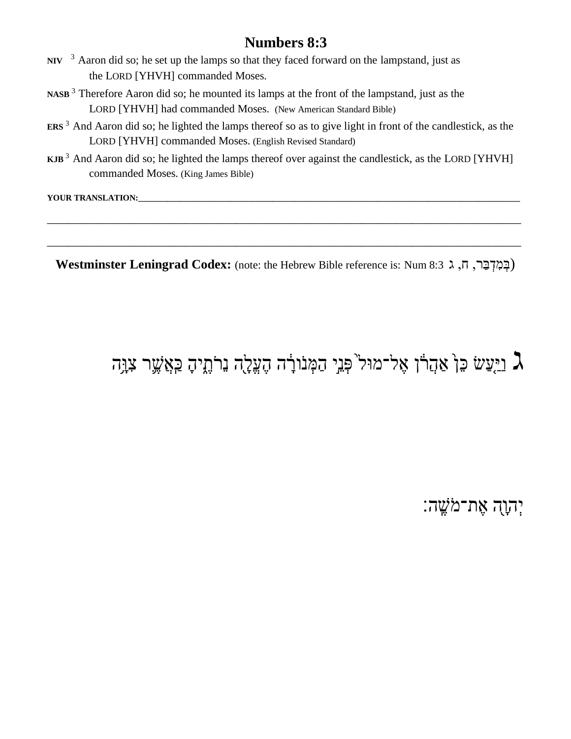- **NIV** <sup>3</sup> Aaron did so; he set up the lamps so that they faced forward on the lampstand, just as the LORD [YHVH] commanded Moses.
- **NASB** <sup>3</sup> Therefore Aaron did so; he mounted its lamps at the front of the lampstand, just as the LORD [YHVH] had commanded Moses. (New American Standard Bible)
- **ERS** <sup>3</sup> And Aaron did so; he lighted the lamps thereof so as to give light in front of the candlestick, as the LORD [YHVH] commanded Moses. (English Revised Standard)
- **KJB** <sup>3</sup> And Aaron did so; he lighted the lamps thereof over against the candlestick, as the LORD [YHVH] commanded Moses. (King James Bible)

**YOUR TRANSLATION:** 

**Westminster Leningrad Codex:** (note: the Hebrew Bible reference is: Num 8:3 ג, ה, ג ,

**\_\_\_\_\_\_\_\_\_\_\_\_\_\_\_\_\_\_\_\_\_\_\_\_\_\_\_\_\_\_\_\_\_\_\_\_\_\_\_\_\_\_\_\_\_\_\_\_\_\_\_\_\_\_\_\_\_\_\_\_\_\_\_\_\_\_\_\_\_\_\_\_\_\_\_\_\_\_\_\_\_\_\_\_\_\_\_\_\_\_\_\_\_\_\_\_\_\_\_\_\_\_\_\_\_\_\_\_\_\_\_\_\_**

**\_\_\_\_\_\_\_\_\_\_\_\_\_\_\_\_\_\_\_\_\_\_\_\_\_\_\_\_\_\_\_\_\_\_\_\_\_\_\_\_\_\_\_\_\_\_\_\_\_\_\_\_\_\_\_\_\_\_\_\_\_\_\_\_\_\_\_\_\_\_\_\_\_\_\_\_\_\_\_\_\_\_\_\_\_\_\_\_\_\_\_\_\_\_\_\_\_\_\_\_\_\_\_\_\_\_\_\_\_\_\_\_\_**

## בַּוֹּעֵּשׁ כֵּןۛ אַהֲרֹו אֶל־מוּל<sup>י</sup>פְּנֵי הַמְּנֹורָׂה הֶעֱלֶה נֵרֹתֶיהָ כַּאֲשֶׁר צִוָּה [עֵ

### יִהְוָה אֶת־מֹשֱה: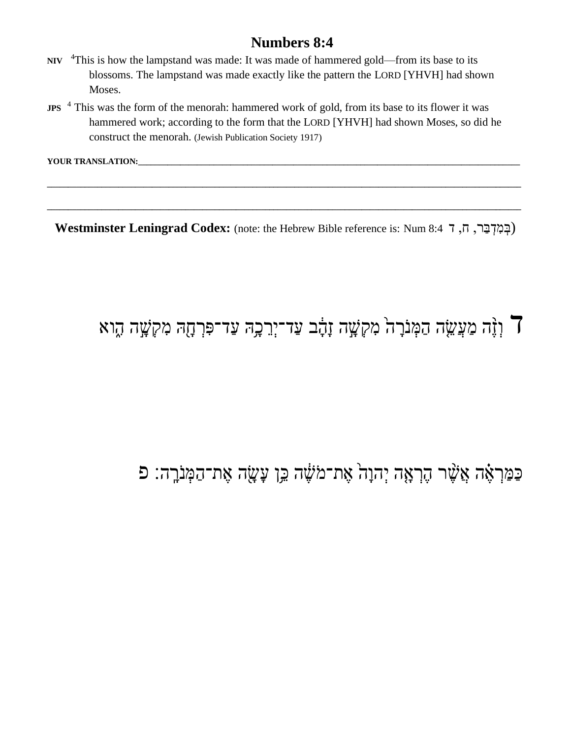- NIV <sup>4</sup>This is how the lampstand was made: It was made of hammered gold—from its base to its blossoms. The lampstand was made exactly like the pattern the LORD [YHVH] had shown Moses.
- **JPS** <sup>4</sup> This was the form of the menorah: hammered work of gold, from its base to its flower it was hammered work; according to the form that the LORD [YHVH] had shown Moses, so did he construct the menorah. (Jewish Publication Society 1917)

YOUR TRANSLATION:

Westminster Leningrad Codex: (note: the Hebrew Bible reference is: Num 8:4 ה, ה, ה

## ך וְזֶה מַעֲשֶׂה הַמְּנֹרָה מִקְשָׁה זָהָ֫ב עַד־יְרֵבְה עַד־פִּרְחָה מִקְשָָׁה הֶוא

## כַּמַּרְאָׂה אֲשֶׁר הֶרְאָה יְהוָהْ אֶת־מֹשֶׁה בֵּן עָשָׂה אֶת־הַמְּנִרֶה: פ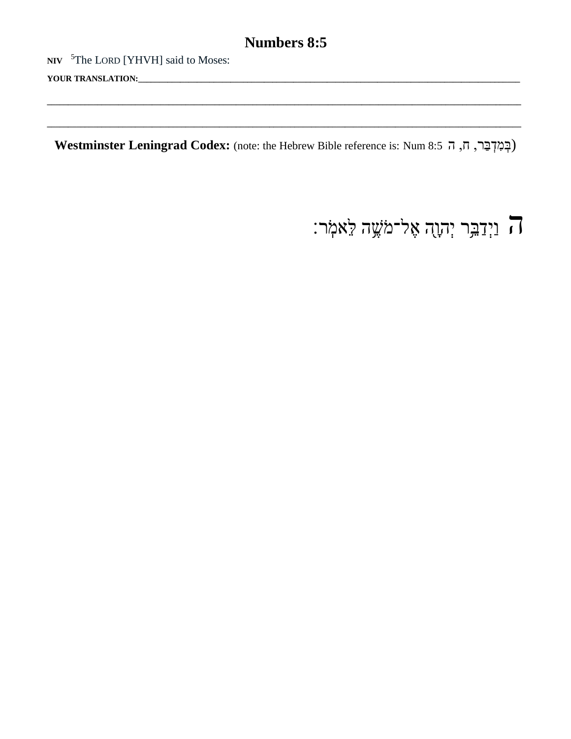NIV <sup>5</sup>The LORD [YHVH] said to Moses:

YOUR TRANSLATION:

Westminster Leningrad Codex: (note: the Hebrew Bible reference is: Num 8:5 ה, ה, ה archives

ה וַיְדַבִּר יְהָוֻה אֶל־מֹּשֶׁה קֵאמְר: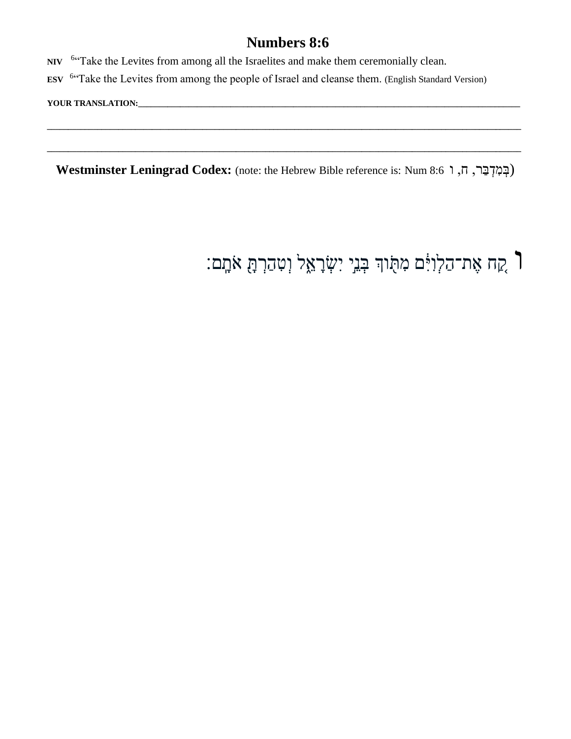NIV <sup>6"</sup>Take the Levites from among all the Israelites and make them ceremonially clean.

ESV <sup>6</sup>"Take the Levites from among the people of Israel and cleanse them. (English Standard Version)

YOUR TRANSLATION:

Westminster Leningrad Codex: (note: the Hebrew Bible reference is: Num 8:6 וְבִקְבַּר, חָ, ו

## ך קָח אֶת־הַלְוִיָּּם מִתֻּוּךְ בְּנֵי יִשְׂרָאֵל וְטִהַרְתָּ אֹתָם: